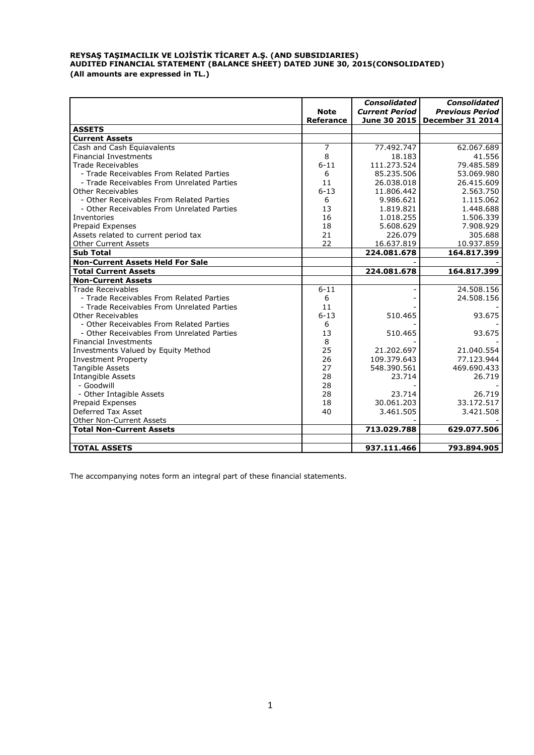# **REYSAŞ TAŞIMACILIK VE LOJİSTİK TİCARET A.Ş. (AND SUBSIDIARIES) AUDITED FINANCIAL STATEMENT (BALANCE SHEET) DATED JUNE 30, 2015(CONSOLIDATED) (All amounts are expressed in TL.)**

|                                            |                                 | <b>Consolidated</b>                   | <b>Consolidated</b>                        |
|--------------------------------------------|---------------------------------|---------------------------------------|--------------------------------------------|
|                                            | <b>Note</b><br><b>Referance</b> | <b>Current Period</b><br>June 30 2015 | <b>Previous Period</b><br>December 31 2014 |
| <b>ASSETS</b>                              |                                 |                                       |                                            |
| <b>Current Assets</b>                      |                                 |                                       |                                            |
| Cash and Cash Equiavalents                 | 7                               | 77.492.747                            | 62.067.689                                 |
| <b>Financial Investments</b>               | 8                               | 18.183                                | 41.556                                     |
| <b>Trade Receivables</b>                   | $6 - 11$                        | 111.273.524                           | 79.485.589                                 |
| - Trade Receivables From Related Parties   | 6                               | 85.235.506                            | 53.069.980                                 |
| - Trade Receivables From Unrelated Parties | 11                              | 26.038.018                            | 26.415.609                                 |
| Other Receivables                          | $6 - 13$                        | 11.806.442                            | 2.563.750                                  |
| - Other Receivables From Related Parties   | 6                               | 9.986.621                             | 1.115.062                                  |
| - Other Receivables From Unrelated Parties | 13                              | 1.819.821                             | 1.448.688                                  |
| Inventories                                | 16                              | 1.018.255                             | 1.506.339                                  |
| Prepaid Expenses                           | 18                              | 5.608.629                             | 7.908.929                                  |
| Assets related to current period tax       | 21                              | 226.079                               | 305.688                                    |
| <b>Other Current Assets</b>                | 22                              | 16.637.819                            | 10.937.859                                 |
| <b>Sub Total</b>                           |                                 | 224.081.678                           | 164.817.399                                |
| <b>Non-Current Assets Held For Sale</b>    |                                 |                                       |                                            |
| <b>Total Current Assets</b>                |                                 | 224.081.678                           | 164.817.399                                |
| <b>Non-Current Assets</b>                  |                                 |                                       |                                            |
| <b>Trade Receivables</b>                   | $6 - 11$                        |                                       | 24.508.156                                 |
| - Trade Receivables From Related Parties   | 6                               |                                       | 24.508.156                                 |
| - Trade Receivables From Unrelated Parties | 11                              |                                       |                                            |
| Other Receivables                          | $6 - 13$                        | 510.465                               | 93.675                                     |
| - Other Receivables From Related Parties   | 6                               |                                       |                                            |
| - Other Receivables From Unrelated Parties | 13                              | 510.465                               | 93.675                                     |
| <b>Financial Investments</b>               | 8                               |                                       |                                            |
| Investments Valued by Equity Method        | 25                              | 21.202.697                            | 21.040.554                                 |
| <b>Investment Property</b>                 | 26                              | 109.379.643                           | 77.123.944                                 |
| Tangible Assets                            | 27                              | 548.390.561                           | 469.690.433                                |
| Intangible Assets                          | 28                              | 23.714                                | 26.719                                     |
| - Goodwill                                 | 28                              |                                       |                                            |
| - Other Intagible Assets                   | 28                              | 23.714                                | 26.719                                     |
| Prepaid Expenses                           | 18                              | 30.061.203                            | 33.172.517                                 |
| Deferred Tax Asset                         | 40                              | 3.461.505                             | 3.421.508                                  |
| Other Non-Current Assets                   |                                 |                                       |                                            |
| <b>Total Non-Current Assets</b>            |                                 | 713.029.788                           | 629.077.506                                |
|                                            |                                 |                                       |                                            |
| <b>TOTAL ASSETS</b>                        |                                 | 937.111.466                           | 793.894.905                                |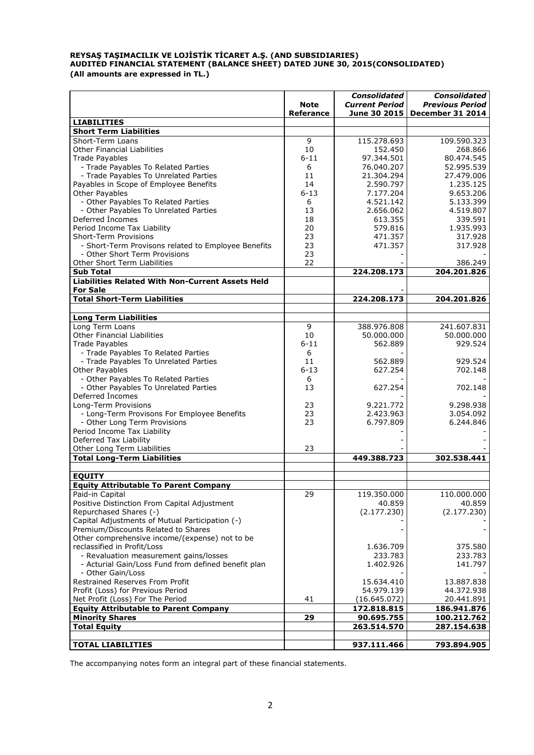# **REYSAŞ TAŞIMACILIK VE LOJİSTİK TİCARET A.Ş. (AND SUBSIDIARIES) AUDITED FINANCIAL STATEMENT (BALANCE SHEET) DATED JUNE 30, 2015(CONSOLIDATED) (All amounts are expressed in TL.)**

|                                                                            | <b>Note</b><br><b>Referance</b> | <b>Consolidated</b><br><b>Current Period</b><br>June 30 2015 | <b>Consolidated</b><br><b>Previous Period</b><br>December 31 2014 |
|----------------------------------------------------------------------------|---------------------------------|--------------------------------------------------------------|-------------------------------------------------------------------|
| <b>LIABILITIES</b>                                                         |                                 |                                                              |                                                                   |
| <b>Short Term Liabilities</b>                                              |                                 |                                                              |                                                                   |
| Short-Term Loans                                                           | 9                               | 115.278.693                                                  | 109.590.323                                                       |
| <b>Other Financial Liabilities</b>                                         | 10                              | 152.450                                                      | 268.866                                                           |
| <b>Trade Payables</b>                                                      | $6 - 11$                        | 97.344.501                                                   | 80.474.545                                                        |
| - Trade Payables To Related Parties                                        | 6                               | 76.040.207                                                   | 52.995.539                                                        |
| - Trade Payables To Unrelated Parties                                      | 11                              | 21.304.294                                                   | 27.479.006                                                        |
| Payables in Scope of Employee Benefits                                     | 14                              | 2.590.797                                                    | 1.235.125                                                         |
| Other Payables                                                             | $6 - 13$                        | 7.177.204                                                    | 9.653.206                                                         |
| - Other Payables To Related Parties                                        | 6                               | 4.521.142                                                    | 5.133.399                                                         |
| - Other Payables To Unrelated Parties                                      | 13                              | 2.656.062                                                    | 4.519.807                                                         |
| Deferred Incomes                                                           | 18                              | 613.355                                                      | 339.591                                                           |
| Period Income Tax Liability                                                | 20                              | 579.816                                                      | 1.935.993                                                         |
| Short-Term Provisions                                                      | 23                              | 471.357                                                      | 317.928                                                           |
| - Short-Term Provisons related to Employee Benefits                        | 23                              | 471.357                                                      | 317.928                                                           |
| - Other Short Term Provisions                                              | 23                              |                                                              |                                                                   |
| Other Short Term Liabilities                                               | 22                              |                                                              | 386.249                                                           |
| <b>Sub Total</b>                                                           |                                 | 224.208.173                                                  | 204.201.826                                                       |
| <b>Liabilities Related With Non-Current Assets Held</b><br><b>For Sale</b> |                                 |                                                              |                                                                   |
| <b>Total Short-Term Liabilities</b>                                        |                                 | 224.208.173                                                  | 204.201.826                                                       |
|                                                                            |                                 |                                                              |                                                                   |
| <b>Long Term Liabilities</b>                                               |                                 |                                                              |                                                                   |
| Long Term Loans                                                            | 9                               | 388.976.808                                                  | 241.607.831                                                       |
| <b>Other Financial Liabilities</b>                                         | 10                              | 50.000.000                                                   | 50.000.000                                                        |
| <b>Trade Payables</b>                                                      | $6 - 11$                        | 562.889                                                      | 929.524                                                           |
| - Trade Payables To Related Parties                                        | 6                               |                                                              |                                                                   |
| - Trade Payables To Unrelated Parties                                      | 11                              | 562.889                                                      | 929.524                                                           |
| Other Payables                                                             | $6 - 13$                        | 627.254                                                      | 702.148                                                           |
| - Other Payables To Related Parties                                        | 6                               |                                                              |                                                                   |
| - Other Payables To Unrelated Parties                                      | 13                              | 627.254                                                      | 702.148                                                           |
| Deferred Incomes                                                           |                                 |                                                              |                                                                   |
| Long-Term Provisions                                                       | 23                              | 9.221.772                                                    | 9.298.938                                                         |
| - Long-Term Provisons For Employee Benefits                                | 23                              | 2.423.963                                                    | 3.054.092                                                         |
| - Other Long Term Provisions                                               | 23                              | 6.797.809                                                    | 6.244.846                                                         |
| Period Income Tax Liability                                                |                                 |                                                              |                                                                   |
| Deferred Tax Liability                                                     |                                 |                                                              |                                                                   |
| Other Long Term Liabilities                                                | 23                              |                                                              |                                                                   |
| <b>Total Long-Term Liabilities</b>                                         |                                 | 449.388.723                                                  | 302.538.441                                                       |
|                                                                            |                                 |                                                              |                                                                   |
| <b>EQUITY</b>                                                              |                                 |                                                              |                                                                   |
| <b>Equity Attributable To Parent Company</b>                               |                                 |                                                              |                                                                   |
| Paid-in Capital                                                            | 29                              | 119.350.000                                                  | 110.000.000                                                       |
| Positive Distinction From Capital Adjustment                               |                                 | 40.859                                                       | 40.859                                                            |
| Repurchased Shares (-)                                                     |                                 | (2.177.230)                                                  | (2.177.230)                                                       |
| Capital Adjustments of Mutual Participation (-)                            |                                 |                                                              |                                                                   |
| Premium/Discounts Related to Shares                                        |                                 |                                                              |                                                                   |
| Other comprehensive income/(expense) not to be                             |                                 |                                                              |                                                                   |
| reclassified in Profit/Loss                                                |                                 | 1.636.709                                                    | 375.580                                                           |
| - Revaluation measurement gains/losses                                     |                                 | 233.783                                                      | 233.783                                                           |
| - Acturial Gain/Loss Fund from defined benefit plan                        |                                 | 1.402.926                                                    | 141.797                                                           |
| - Other Gain/Loss                                                          |                                 |                                                              |                                                                   |
| Restrained Reserves From Profit                                            |                                 | 15.634.410                                                   | 13.887.838                                                        |
| Profit (Loss) for Previous Period                                          |                                 | 54.979.139                                                   | 44.372.938                                                        |
| Net Profit (Loss) For The Period                                           | 41                              | (16.645.072)                                                 | 20.441.891                                                        |
| <b>Equity Attributable to Parent Company</b>                               |                                 | 172.818.815                                                  | 186.941.876                                                       |
| <b>Minority Shares</b>                                                     | 29                              | 90.695.755                                                   | 100.212.762                                                       |
| <b>Total Equity</b>                                                        |                                 | 263.514.570                                                  | 287.154.638                                                       |
|                                                                            |                                 |                                                              |                                                                   |
| <b>TOTAL LIABILITIES</b>                                                   |                                 | 937.111.466                                                  | 793.894.905                                                       |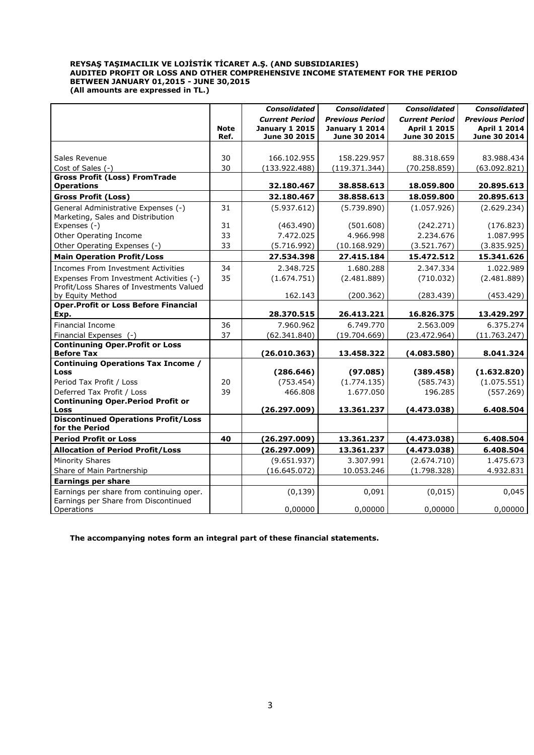#### **REYSAŞ TAŞIMACILIK VE LOJİSTİK TİCARET A.Ş. (AND SUBSIDIARIES) AUDITED PROFIT OR LOSS AND OTHER COMPREHENSIVE INCOME STATEMENT FOR THE PERIOD BETWEEN JANUARY 01,2015 - JUNE 30,2015 (All amounts are expressed in TL.)**

|                                                             |             | <b>Consolidated</b>   | <b>Consolidated</b>    | <b>Consolidated</b>   | <b>Consolidated</b>    |
|-------------------------------------------------------------|-------------|-----------------------|------------------------|-----------------------|------------------------|
|                                                             |             | <b>Current Period</b> | <b>Previous Period</b> | <b>Current Period</b> | <b>Previous Period</b> |
|                                                             | <b>Note</b> | <b>January 1 2015</b> | <b>January 1 2014</b>  | <b>April 1 2015</b>   | <b>April 1 2014</b>    |
|                                                             | Ref.        | June 30 2015          | June 30 2014           | June 30 2015          | June 30 2014           |
|                                                             |             |                       |                        |                       |                        |
| Sales Revenue                                               | 30          | 166.102.955           | 158.229.957            | 88.318.659            | 83.988.434             |
| Cost of Sales (-)                                           | 30          | (133.922.488)         | (119.371.344)          | (70.258.859)          | (63.092.821)           |
| <b>Gross Profit (Loss) FromTrade</b><br><b>Operations</b>   |             | 32.180.467            | 38.858.613             | 18.059.800            | 20.895.613             |
| <b>Gross Profit (Loss)</b>                                  |             | 32.180.467            | 38.858.613             | 18.059.800            | 20.895.613             |
| General Administrative Expenses (-)                         | 31          | (5.937.612)           | (5.739.890)            | (1.057.926)           | (2.629.234)            |
| Marketing, Sales and Distribution                           |             |                       |                        |                       |                        |
| Expenses (-)                                                | 31          | (463.490)             | (501.608)              | (242.271)             | (176.823)              |
| Other Operating Income                                      | 33          | 7.472.025             | 4.966.998              | 2.234.676             | 1.087.995              |
| Other Operating Expenses (-)                                | 33          | (5.716.992)           | (10.168.929)           | (3.521.767)           | (3.835.925)            |
| <b>Main Operation Profit/Loss</b>                           |             | 27.534.398            | 27.415.184             | 15.472.512            | 15.341.626             |
| Incomes From Investment Activities                          | 34          | 2.348.725             | 1.680.288              | 2.347.334             | 1.022.989              |
| Expenses From Investment Activities (-)                     | 35          | (1.674.751)           | (2.481.889)            | (710.032)             | (2.481.889)            |
| Profit/Loss Shares of Investments Valued                    |             |                       |                        |                       |                        |
| by Equity Method                                            |             | 162.143               | (200.362)              | (283.439)             | (453.429)              |
| <b>Oper.Profit or Loss Before Financial</b>                 |             |                       |                        |                       |                        |
| Exp.                                                        |             | 28.370.515            | 26.413.221             | 16.826.375            | 13.429.297             |
| <b>Financial Income</b>                                     | 36          | 7.960.962             | 6.749.770              | 2.563.009             | 6.375.274              |
| Financial Expenses (-)                                      | 37          | (62.341.840)          | (19.704.669)           | (23.472.964)          | (11.763.247)           |
| <b>Continuning Oper.Profit or Loss</b><br><b>Before Tax</b> |             |                       | 13.458.322             | (4.083.580)           |                        |
| <b>Continuing Operations Tax Income /</b>                   |             | (26.010.363)          |                        |                       | 8.041.324              |
| Loss                                                        |             | (286.646)             | (97.085)               | (389.458)             | (1.632.820)            |
| Period Tax Profit / Loss                                    | 20          | (753.454)             | (1.774.135)            | (585.743)             | (1.075.551)            |
| Deferred Tax Profit / Loss                                  | 39          | 466.808               | 1.677.050              | 196.285               | (557.269)              |
| <b>Continuning Oper.Period Profit or</b>                    |             |                       |                        |                       |                        |
| Loss                                                        |             | (26.297.009)          | 13.361.237             | (4.473.038)           | 6.408.504              |
| <b>Discontinued Operations Profit/Loss</b>                  |             |                       |                        |                       |                        |
| for the Period                                              |             |                       |                        |                       |                        |
| <b>Period Profit or Loss</b>                                | 40          | (26.297.009)          | 13.361.237             | (4.473.038)           | 6.408.504              |
| <b>Allocation of Period Profit/Loss</b>                     |             | (26.297.009)          | 13.361.237             | (4.473.038)           | 6.408.504              |
| <b>Minority Shares</b>                                      |             | (9.651.937)           | 3.307.991              | (2.674.710)           | 1.475.673              |
| Share of Main Partnership                                   |             | (16.645.072)          | 10.053.246             | (1.798.328)           | 4.932.831              |
| <b>Earnings per share</b>                                   |             |                       |                        |                       |                        |
| Earnings per share from continuing oper.                    |             | (0, 139)              | 0,091                  | (0, 015)              | 0,045                  |
| Earnings per Share from Discontinued<br>Operations          |             | 0,00000               | 0,00000                | 0,00000               | 0,00000                |
|                                                             |             |                       |                        |                       |                        |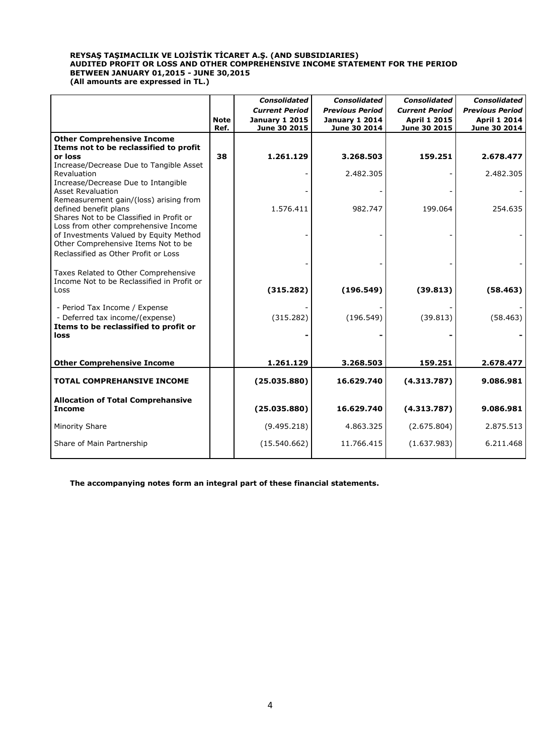## **REYSAŞ TAŞIMACILIK VE LOJİSTİK TİCARET A.Ş. (AND SUBSIDIARIES) AUDITED PROFIT OR LOSS AND OTHER COMPREHENSIVE INCOME STATEMENT FOR THE PERIOD BETWEEN JANUARY 01,2015 - JUNE 30,2015 (All amounts are expressed in TL.)**

|                                                                               |                     | <b>Consolidated</b>                   | <b>Consolidated</b>                   | <b>Consolidated</b>                 | <b>Consolidated</b>                 |
|-------------------------------------------------------------------------------|---------------------|---------------------------------------|---------------------------------------|-------------------------------------|-------------------------------------|
|                                                                               |                     | <b>Current Period</b>                 | <b>Previous Period</b>                | <b>Current Period</b>               | <b>Previous Period</b>              |
|                                                                               | <b>Note</b><br>Ref. | <b>January 1 2015</b><br>June 30 2015 | <b>January 1 2014</b><br>June 30 2014 | <b>April 1 2015</b><br>June 30 2015 | <b>April 1 2014</b><br>June 30 2014 |
| <b>Other Comprehensive Income</b>                                             |                     |                                       |                                       |                                     |                                     |
| Items not to be reclassified to profit                                        |                     |                                       |                                       |                                     |                                     |
| or loss                                                                       | 38                  | 1.261.129                             | 3.268.503                             | 159.251                             | 2.678.477                           |
| Increase/Decrease Due to Tangible Asset                                       |                     |                                       |                                       |                                     |                                     |
| Revaluation                                                                   |                     |                                       | 2.482.305                             |                                     | 2.482.305                           |
| Increase/Decrease Due to Intangible<br><b>Asset Revaluation</b>               |                     |                                       |                                       |                                     |                                     |
| Remeasurement gain/(loss) arising from                                        |                     |                                       |                                       |                                     |                                     |
| defined benefit plans                                                         |                     | 1.576.411                             | 982.747                               | 199.064                             | 254.635                             |
| Shares Not to be Classified in Profit or                                      |                     |                                       |                                       |                                     |                                     |
| Loss from other comprehensive Income                                          |                     |                                       |                                       |                                     |                                     |
| of Investments Valued by Equity Method<br>Other Comprehensive Items Not to be |                     |                                       |                                       |                                     |                                     |
| Reclassified as Other Profit or Loss                                          |                     |                                       |                                       |                                     |                                     |
|                                                                               |                     |                                       |                                       |                                     |                                     |
| Taxes Related to Other Comprehensive                                          |                     |                                       |                                       |                                     |                                     |
| Income Not to be Reclassified in Profit or                                    |                     |                                       |                                       |                                     |                                     |
| Loss                                                                          |                     | (315.282)                             | (196.549)                             | (39.813)                            | (58.463)                            |
|                                                                               |                     |                                       |                                       |                                     |                                     |
| - Period Tax Income / Expense<br>- Deferred tax income/(expense)              |                     | (315.282)                             | (196.549)                             | (39.813)                            | (58.463)                            |
| Items to be reclassified to profit or                                         |                     |                                       |                                       |                                     |                                     |
| loss                                                                          |                     |                                       |                                       |                                     |                                     |
|                                                                               |                     |                                       |                                       |                                     |                                     |
|                                                                               |                     |                                       |                                       |                                     |                                     |
| <b>Other Comprehensive Income</b>                                             |                     | 1.261.129                             | 3.268.503                             | 159.251                             | 2.678.477                           |
| <b>TOTAL COMPREHANSIVE INCOME</b>                                             |                     | (25.035.880)                          | 16.629.740                            | (4.313.787)                         | 9.086.981                           |
| <b>Allocation of Total Comprehansive</b>                                      |                     |                                       |                                       |                                     |                                     |
| <b>Income</b>                                                                 |                     | (25.035.880)                          | 16.629.740                            | (4.313.787)                         | 9.086.981                           |
| Minority Share                                                                |                     | (9.495.218)                           | 4.863.325                             | (2.675.804)                         | 2.875.513                           |
| Share of Main Partnership                                                     |                     | (15.540.662)                          | 11.766.415                            | (1.637.983)                         | 6.211.468                           |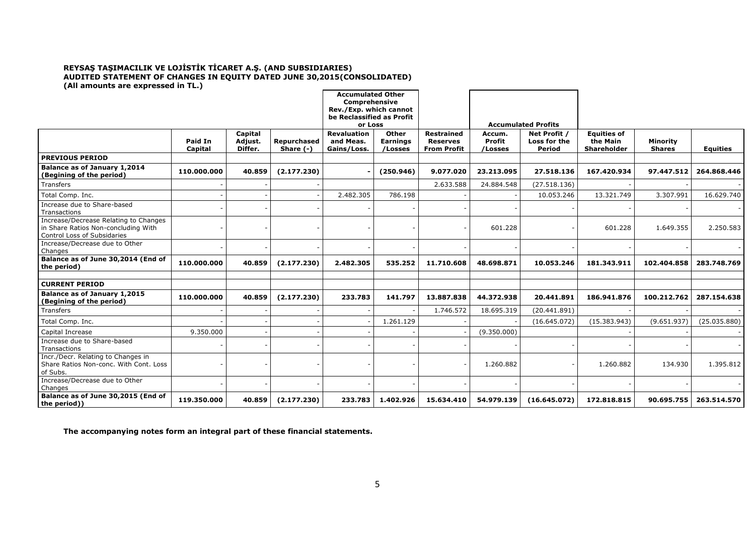#### **REYSAŞ TAŞIMACILIK VE LOJİSTİK TİCARET A.Ş. (AND SUBSIDIARIES) AUDITED STATEMENT OF CHANGES IN EQUITY DATED JUNE 30,2015(CONSOLIDATED) (All amounts are expressed in TL.)**

|                                                                                                             |                    |                               |                            | <b>Accumulated Other</b><br>Comprehensive      |                                     |                                                            |                                    |                                               |                                                      |                                  |                 |
|-------------------------------------------------------------------------------------------------------------|--------------------|-------------------------------|----------------------------|------------------------------------------------|-------------------------------------|------------------------------------------------------------|------------------------------------|-----------------------------------------------|------------------------------------------------------|----------------------------------|-----------------|
|                                                                                                             |                    |                               |                            | Rev./Exp. which cannot                         |                                     |                                                            |                                    |                                               |                                                      |                                  |                 |
|                                                                                                             |                    |                               |                            | be Reclassified as Profit<br>or Loss           |                                     |                                                            |                                    | <b>Accumulated Profits</b>                    |                                                      |                                  |                 |
|                                                                                                             | Paid In<br>Capital | Capital<br>Adjust.<br>Differ. | Repurchased<br>Share $(-)$ | <b>Revaluation</b><br>and Meas.<br>Gains/Loss. | Other<br><b>Earnings</b><br>/Losses | <b>Restrained</b><br><b>Reserves</b><br><b>From Profit</b> | Accum.<br><b>Profit</b><br>/Losses | Net Profit /<br>Loss for the<br><b>Period</b> | <b>Equities of</b><br>the Main<br><b>Shareholder</b> | <b>Minority</b><br><b>Shares</b> | <b>Equities</b> |
| <b>PREVIOUS PERIOD</b>                                                                                      |                    |                               |                            |                                                |                                     |                                                            |                                    |                                               |                                                      |                                  |                 |
| Balance as of January 1,2014<br>(Begining of the period)                                                    | 110.000.000        | 40.859                        | (2.177.230)                |                                                | (250.946)                           | 9.077.020                                                  | 23.213.095                         | 27.518.136                                    | 167.420.934                                          | 97.447.512                       | 264.868.446     |
| Transfers                                                                                                   |                    |                               |                            |                                                |                                     | 2.633.588                                                  | 24.884.548                         | (27.518.136)                                  |                                                      |                                  |                 |
| Total Comp. Inc.                                                                                            |                    |                               |                            | 2.482.305                                      | 786.198                             |                                                            |                                    | 10.053.246                                    | 13.321.749                                           | 3.307.991                        | 16.629.740      |
| Increase due to Share-based<br>Transactions                                                                 |                    |                               |                            |                                                |                                     |                                                            |                                    |                                               |                                                      |                                  |                 |
| Increase/Decrease Relating to Changes<br>in Share Ratios Non-concluding With<br>Control Loss of Subsidaries |                    |                               |                            |                                                |                                     |                                                            | 601.228                            |                                               | 601.228                                              | 1.649.355                        | 2.250.583       |
| Increase/Decrease due to Other<br>Changes                                                                   |                    |                               |                            |                                                |                                     |                                                            |                                    |                                               |                                                      |                                  |                 |
| Balance as of June 30,2014 (End of<br>the period)                                                           | 110.000.000        | 40.859                        | (2.177.230)                | 2.482.305                                      | 535.252                             | 11.710.608                                                 | 48.698.871                         | 10.053.246                                    | 181.343.911                                          | 102.404.858                      | 283.748.769     |
| <b>CURRENT PERIOD</b>                                                                                       |                    |                               |                            |                                                |                                     |                                                            |                                    |                                               |                                                      |                                  |                 |
| Balance as of January 1,2015<br>(Begining of the period)                                                    | 110.000.000        | 40.859                        | (2.177.230)                | 233.783                                        | 141.797                             | 13.887.838                                                 | 44.372.938                         | 20.441.891                                    | 186.941.876                                          | 100.212.762                      | 287.154.638     |
| Transfers                                                                                                   |                    |                               |                            |                                                |                                     | 1.746.572                                                  | 18.695.319                         | (20.441.891)                                  |                                                      |                                  |                 |
| Total Comp. Inc.                                                                                            |                    |                               |                            |                                                | 1.261.129                           |                                                            |                                    | (16.645.072)                                  | (15.383.943)                                         | (9.651.937)                      | (25.035.880)    |
| Capital Increase                                                                                            | 9.350.000          |                               |                            |                                                |                                     |                                                            | (9.350.000)                        |                                               |                                                      |                                  |                 |
| Increase due to Share-based<br>Transactions                                                                 |                    |                               |                            |                                                |                                     |                                                            |                                    |                                               |                                                      |                                  |                 |
| Incr./Decr. Relating to Changes in<br>Share Ratios Non-conc. With Cont. Loss<br>of Subs.                    |                    |                               |                            |                                                |                                     |                                                            | 1.260.882                          |                                               | 1.260.882                                            | 134.930                          | 1.395.812       |
| Increase/Decrease due to Other<br>Changes                                                                   |                    |                               |                            |                                                |                                     |                                                            |                                    |                                               |                                                      |                                  |                 |
| Balance as of June 30,2015 (End of<br>the period))                                                          | 119.350.000        | 40.859                        | (2.177.230)                | 233.783                                        | 1.402.926                           | 15.634.410                                                 | 54.979.139                         | (16.645.072)                                  | 172.818.815                                          | 90.695.755                       | 263.514.570     |